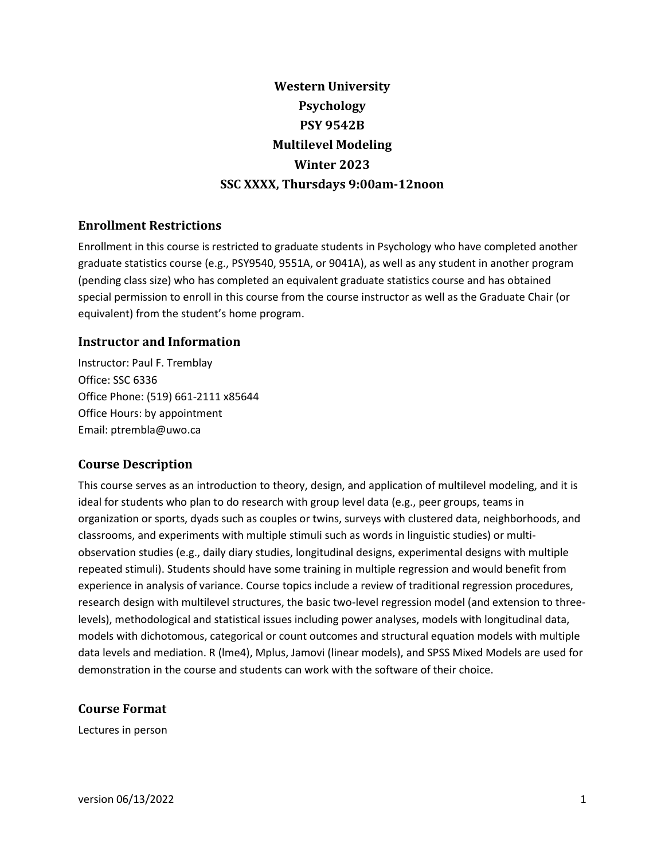# **Western University Psychology PSY 9542B Multilevel Modeling Winter 2023 SSC XXXX, Thursdays 9:00am-12noon**

# **Enrollment Restrictions**

Enrollment in this course is restricted to graduate students in Psychology who have completed another graduate statistics course (e.g., PSY9540, 9551A, or 9041A), as well as any student in another program (pending class size) who has completed an equivalent graduate statistics course and has obtained special permission to enroll in this course from the course instructor as well as the Graduate Chair (or equivalent) from the student's home program.

# **Instructor and Information**

Instructor: Paul F. Tremblay Office: SSC 6336 Office Phone: (519) 661-2111 x85644 Office Hours: by appointment Email: ptrembla@uwo.ca

# **Course Description**

This course serves as an introduction to theory, design, and application of multilevel modeling, and it is ideal for students who plan to do research with group level data (e.g., peer groups, teams in organization or sports, dyads such as couples or twins, surveys with clustered data, neighborhoods, and classrooms, and experiments with multiple stimuli such as words in linguistic studies) or multiobservation studies (e.g., daily diary studies, longitudinal designs, experimental designs with multiple repeated stimuli). Students should have some training in multiple regression and would benefit from experience in analysis of variance. Course topics include a review of traditional regression procedures, research design with multilevel structures, the basic two-level regression model (and extension to threelevels), methodological and statistical issues including power analyses, models with longitudinal data, models with dichotomous, categorical or count outcomes and structural equation models with multiple data levels and mediation. R (lme4), Mplus, Jamovi (linear models), and SPSS Mixed Models are used for demonstration in the course and students can work with the software of their choice.

# **Course Format**

Lectures in person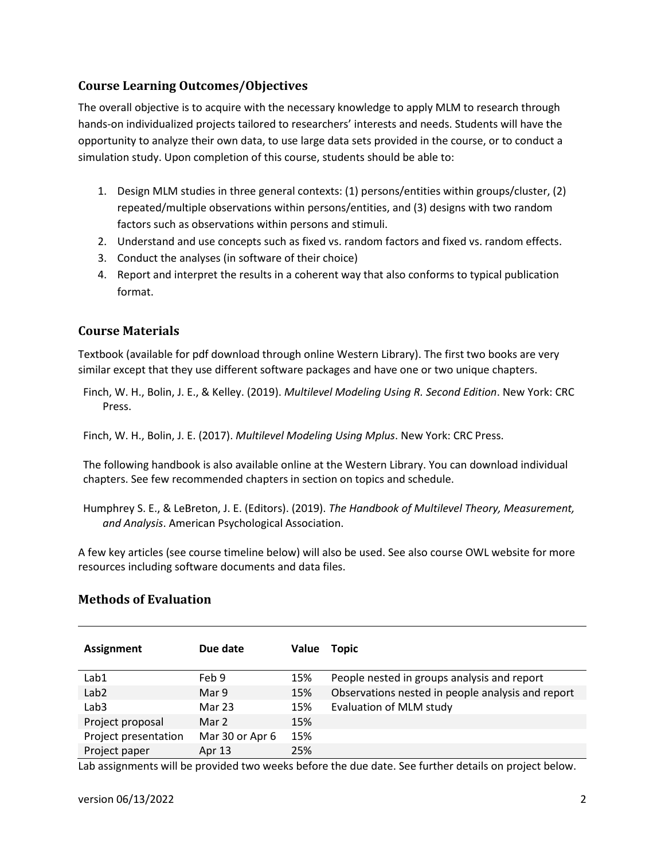# **Course Learning Outcomes/Objectives**

The overall objective is to acquire with the necessary knowledge to apply MLM to research through hands-on individualized projects tailored to researchers' interests and needs. Students will have the opportunity to analyze their own data, to use large data sets provided in the course, or to conduct a simulation study. Upon completion of this course, students should be able to:

- 1. Design MLM studies in three general contexts: (1) persons/entities within groups/cluster, (2) repeated/multiple observations within persons/entities, and (3) designs with two random factors such as observations within persons and stimuli.
- 2. Understand and use concepts such as fixed vs. random factors and fixed vs. random effects.
- 3. Conduct the analyses (in software of their choice)
- 4. Report and interpret the results in a coherent way that also conforms to typical publication format.

# **Course Materials**

Textbook (available for pdf download through online Western Library). The first two books are very similar except that they use different software packages and have one or two unique chapters.

Finch, W. H., Bolin, J. E., & Kelley. (2019). *Multilevel Modeling Using R. Second Edition*. New York: CRC Press.

Finch, W. H., Bolin, J. E. (2017). *Multilevel Modeling Using Mplus*. New York: CRC Press.

The following handbook is also available online at the Western Library. You can download individual chapters. See few recommended chapters in section on topics and schedule.

Humphrey S. E., & LeBreton, J. E. (Editors). (2019). *The Handbook of Multilevel Theory, Measurement, and Analysis*. American Psychological Association.

A few key articles (see course timeline below) will also be used. See also course OWL website for more resources including software documents and data files.

| <b>Assignment</b>    | Due date        | <b>Value</b> | Topic                                             |
|----------------------|-----------------|--------------|---------------------------------------------------|
| Lab1                 | Feb 9           | 15%          | People nested in groups analysis and report       |
| Lab <sub>2</sub>     | Mar 9           | 15%          | Observations nested in people analysis and report |
| Lab <sub>3</sub>     | Mar 23          | 15%          | Evaluation of MLM study                           |
| Project proposal     | Mar 2           | 15%          |                                                   |
| Project presentation | Mar 30 or Apr 6 | 15%          |                                                   |
| Project paper        | Apr 13          | 25%          |                                                   |

# **Methods of Evaluation**

Lab assignments will be provided two weeks before the due date. See further details on project below.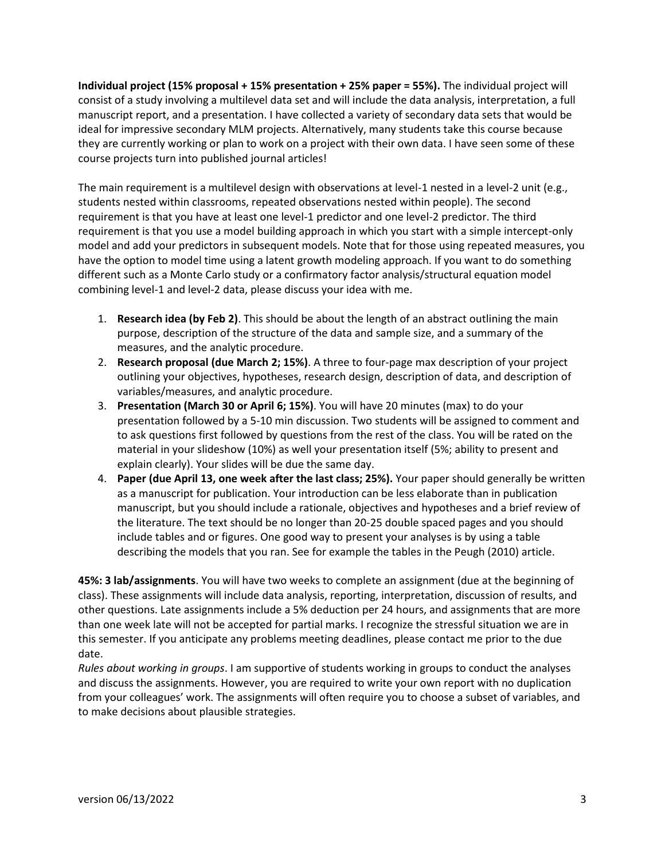**Individual project (15% proposal + 15% presentation + 25% paper = 55%).** The individual project will consist of a study involving a multilevel data set and will include the data analysis, interpretation, a full manuscript report, and a presentation. I have collected a variety of secondary data sets that would be ideal for impressive secondary MLM projects. Alternatively, many students take this course because they are currently working or plan to work on a project with their own data. I have seen some of these course projects turn into published journal articles!

The main requirement is a multilevel design with observations at level-1 nested in a level-2 unit (e.g., students nested within classrooms, repeated observations nested within people). The second requirement is that you have at least one level-1 predictor and one level-2 predictor. The third requirement is that you use a model building approach in which you start with a simple intercept-only model and add your predictors in subsequent models. Note that for those using repeated measures, you have the option to model time using a latent growth modeling approach. If you want to do something different such as a Monte Carlo study or a confirmatory factor analysis/structural equation model combining level-1 and level-2 data, please discuss your idea with me.

- 1. **Research idea (by Feb 2)**. This should be about the length of an abstract outlining the main purpose, description of the structure of the data and sample size, and a summary of the measures, and the analytic procedure.
- 2. **Research proposal (due March 2; 15%)**. A three to four-page max description of your project outlining your objectives, hypotheses, research design, description of data, and description of variables/measures, and analytic procedure.
- 3. **Presentation (March 30 or April 6; 15%)**. You will have 20 minutes (max) to do your presentation followed by a 5-10 min discussion. Two students will be assigned to comment and to ask questions first followed by questions from the rest of the class. You will be rated on the material in your slideshow (10%) as well your presentation itself (5%; ability to present and explain clearly). Your slides will be due the same day.
- 4. **Paper (due April 13, one week after the last class; 25%).** Your paper should generally be written as a manuscript for publication. Your introduction can be less elaborate than in publication manuscript, but you should include a rationale, objectives and hypotheses and a brief review of the literature. The text should be no longer than 20-25 double spaced pages and you should include tables and or figures. One good way to present your analyses is by using a table describing the models that you ran. See for example the tables in the Peugh (2010) article.

**45%: 3 lab/assignments**. You will have two weeks to complete an assignment (due at the beginning of class). These assignments will include data analysis, reporting, interpretation, discussion of results, and other questions. Late assignments include a 5% deduction per 24 hours, and assignments that are more than one week late will not be accepted for partial marks. I recognize the stressful situation we are in this semester. If you anticipate any problems meeting deadlines, please contact me prior to the due date.

*Rules about working in groups*. I am supportive of students working in groups to conduct the analyses and discuss the assignments. However, you are required to write your own report with no duplication from your colleagues' work. The assignments will often require you to choose a subset of variables, and to make decisions about plausible strategies.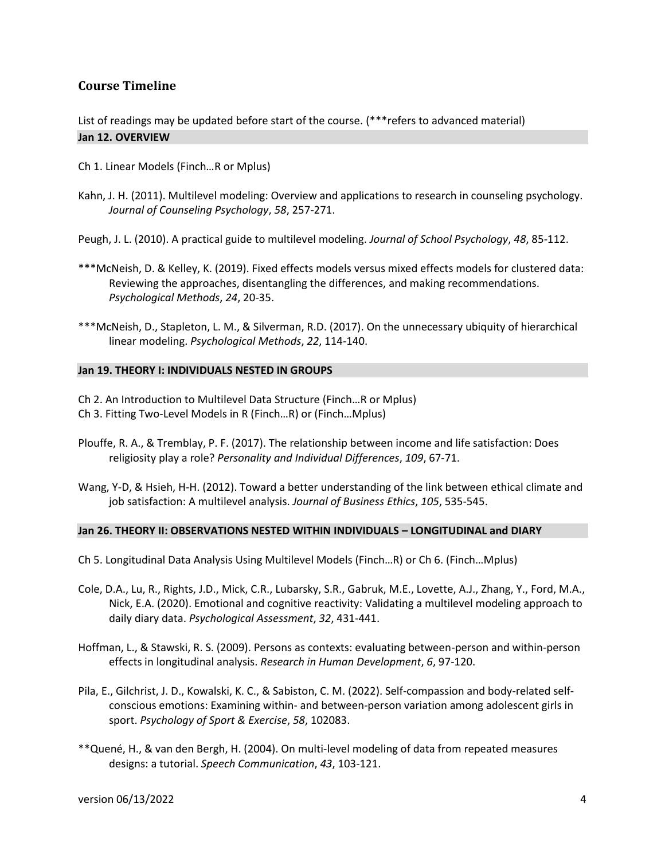# **Course Timeline**

List of readings may be updated before start of the course. (\*\*\*refers to advanced material) **Jan 12. OVERVIEW**

- Ch 1. Linear Models (Finch…R or Mplus)
- Kahn, J. H. (2011). Multilevel modeling: Overview and applications to research in counseling psychology. *Journal of Counseling Psychology*, *58*, 257-271.

Peugh, J. L. (2010). A practical guide to multilevel modeling. *Journal of School Psychology*, *48*, 85-112.

- \*\*\*McNeish, D. & Kelley, K. (2019). Fixed effects models versus mixed effects models for clustered data: Reviewing the approaches, disentangling the differences, and making recommendations. *Psychological Methods*, *24*, 20-35.
- \*\*\*McNeish, D., Stapleton, L. M., & Silverman, R.D. (2017). On the unnecessary ubiquity of hierarchical linear modeling. *Psychological Methods*, *22*, 114-140.

#### **Jan 19. THEORY I: INDIVIDUALS NESTED IN GROUPS**

Ch 2. An Introduction to Multilevel Data Structure (Finch…R or Mplus) Ch 3. Fitting Two-Level Models in R (Finch…R) or (Finch…Mplus)

- Plouffe, R. A., & Tremblay, P. F. (2017). The relationship between income and life satisfaction: Does religiosity play a role? *Personality and Individual Differences*, *109*, 67-71.
- Wang, Y-D, & Hsieh, H-H. (2012). Toward a better understanding of the link between ethical climate and job satisfaction: A multilevel analysis. *Journal of Business Ethics*, *105*, 535-545.

#### **Jan 26. THEORY II: OBSERVATIONS NESTED WITHIN INDIVIDUALS – LONGITUDINAL and DIARY**

- Ch 5. Longitudinal Data Analysis Using Multilevel Models (Finch…R) or Ch 6. (Finch…Mplus)
- Cole, D.A., Lu, R., Rights, J.D., Mick, C.R., Lubarsky, S.R., Gabruk, M.E., Lovette, A.J., Zhang, Y., Ford, M.A., Nick, E.A. (2020). Emotional and cognitive reactivity: Validating a multilevel modeling approach to daily diary data. *Psychological Assessment*, *32*, 431-441.
- Hoffman, L., & Stawski, R. S. (2009). Persons as contexts: evaluating between-person and within-person effects in longitudinal analysis. *Research in Human Development*, *6*, 97-120.
- Pila, E., Gilchrist, J. D., Kowalski, K. C., & Sabiston, C. M. (2022). Self-compassion and body-related selfconscious emotions: Examining within- and between-person variation among adolescent girls in sport. *Psychology of Sport & Exercise*, *58*, 102083.
- \*\*Quené, H., & van den Bergh, H. (2004). On multi-level modeling of data from repeated measures designs: a tutorial. *Speech Communication*, *43*, 103-121.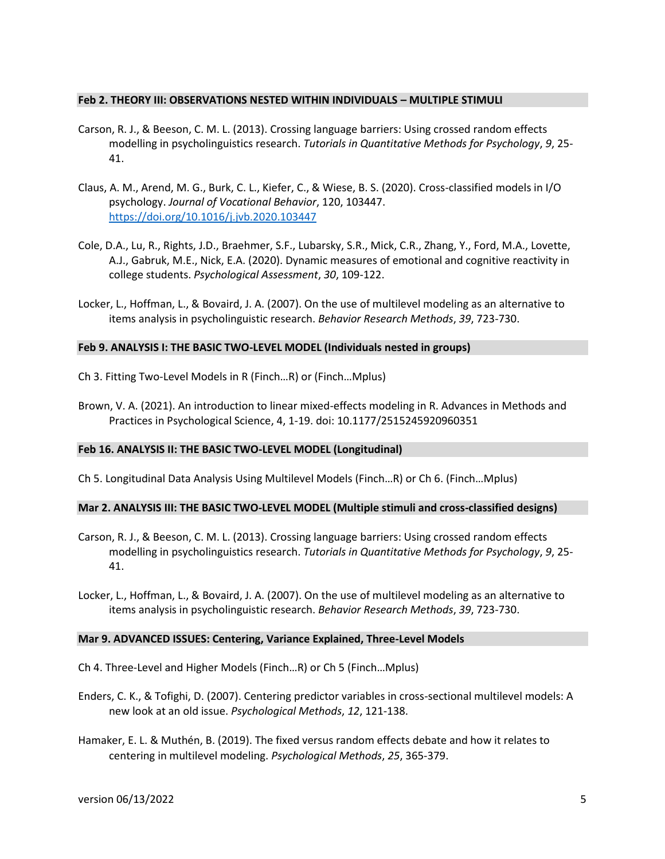#### **Feb 2. THEORY III: OBSERVATIONS NESTED WITHIN INDIVIDUALS – MULTIPLE STIMULI**

- Carson, R. J., & Beeson, C. M. L. (2013). Crossing language barriers: Using crossed random effects modelling in psycholinguistics research. *Tutorials in Quantitative Methods for Psychology*, *9*, 25- 41.
- Claus, A. M., Arend, M. G., Burk, C. L., Kiefer, C., & Wiese, B. S. (2020). Cross-classified models in I/O psychology. *Journal of Vocational Behavior*, 120, 103447. <https://doi.org/10.1016/j.jvb.2020.103447>
- Cole, D.A., Lu, R., Rights, J.D., Braehmer, S.F., Lubarsky, S.R., Mick, C.R., Zhang, Y., Ford, M.A., Lovette, A.J., Gabruk, M.E., Nick, E.A. (2020). Dynamic measures of emotional and cognitive reactivity in college students. *Psychological Assessment*, *30*, 109-122.
- Locker, L., Hoffman, L., & Bovaird, J. A. (2007). On the use of multilevel modeling as an alternative to items analysis in psycholinguistic research. *Behavior Research Methods*, *39*, 723-730.

#### **Feb 9. ANALYSIS I: THE BASIC TWO-LEVEL MODEL (Individuals nested in groups)**

- Ch 3. Fitting Two-Level Models in R (Finch…R) or (Finch…Mplus)
- Brown, V. A. (2021). An introduction to linear mixed-effects modeling in R. Advances in Methods and Practices in Psychological Science, 4, 1-19. doi: 10.1177/2515245920960351

#### **Feb 16. ANALYSIS II: THE BASIC TWO-LEVEL MODEL (Longitudinal)**

Ch 5. Longitudinal Data Analysis Using Multilevel Models (Finch…R) or Ch 6. (Finch…Mplus)

#### **Mar 2. ANALYSIS III: THE BASIC TWO-LEVEL MODEL (Multiple stimuli and cross-classified designs)**

- Carson, R. J., & Beeson, C. M. L. (2013). Crossing language barriers: Using crossed random effects modelling in psycholinguistics research. *Tutorials in Quantitative Methods for Psychology*, *9*, 25- 41.
- Locker, L., Hoffman, L., & Bovaird, J. A. (2007). On the use of multilevel modeling as an alternative to items analysis in psycholinguistic research. *Behavior Research Methods*, *39*, 723-730.

#### **Mar 9. ADVANCED ISSUES: Centering, Variance Explained, Three-Level Models**

- Ch 4. Three-Level and Higher Models (Finch…R) or Ch 5 (Finch…Mplus)
- Enders, C. K., & Tofighi, D. (2007). Centering predictor variables in cross-sectional multilevel models: A new look at an old issue. *Psychological Methods*, *12*, 121-138.
- Hamaker, E. L. & Muthén, B. (2019). The fixed versus random effects debate and how it relates to centering in multilevel modeling. *Psychological Methods*, *25*, 365-379.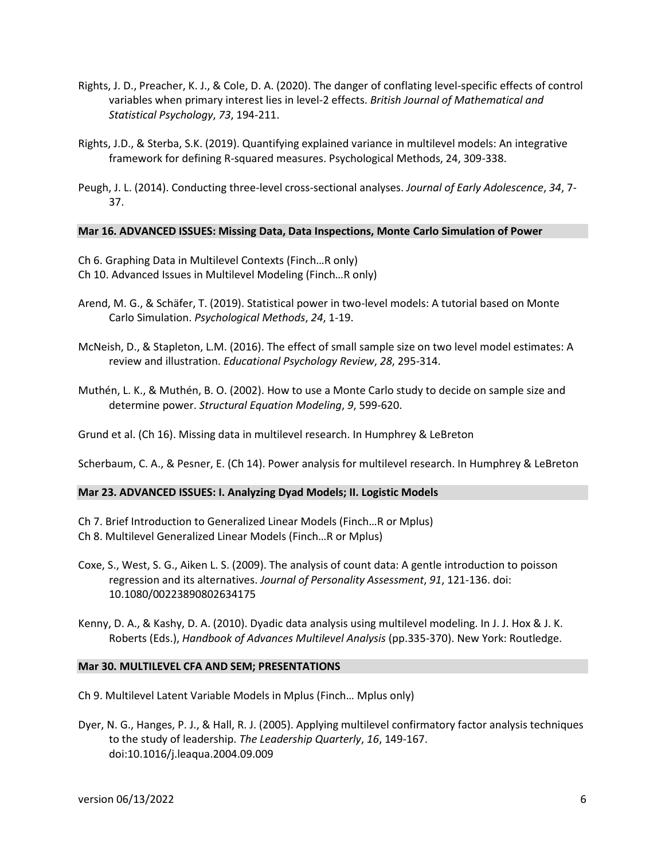- Rights, J. D., Preacher, K. J., & Cole, D. A. (2020). The danger of conflating level-specific effects of control variables when primary interest lies in level-2 effects. *British Journal of Mathematical and Statistical Psychology*, *73*, 194-211.
- Rights, J.D., & Sterba, S.K. (2019). Quantifying explained variance in multilevel models: An integrative framework for defining R-squared measures. Psychological Methods, 24, 309-338.
- Peugh, J. L. (2014). Conducting three-level cross-sectional analyses. *Journal of Early Adolescence*, *34*, 7- 37.

#### **Mar 16. ADVANCED ISSUES: Missing Data, Data Inspections, Monte Carlo Simulation of Power**

- Ch 6. Graphing Data in Multilevel Contexts (Finch…R only) Ch 10. Advanced Issues in Multilevel Modeling (Finch…R only)
- Arend, M. G., & Schäfer, T. (2019). Statistical power in two-level models: A tutorial based on Monte Carlo Simulation. *Psychological Methods*, *24*, 1-19.
- McNeish, D., & Stapleton, L.M. (2016). The effect of small sample size on two level model estimates: A review and illustration. *Educational Psychology Review*, *28*, 295-314.
- Muthén, L. K., & Muthén, B. O. (2002). How to use a Monte Carlo study to decide on sample size and determine power. *Structural Equation Modeling*, *9*, 599-620.

Grund et al. (Ch 16). Missing data in multilevel research. In Humphrey & LeBreton

Scherbaum, C. A., & Pesner, E. (Ch 14). Power analysis for multilevel research. In Humphrey & LeBreton

#### **Mar 23. ADVANCED ISSUES: I. Analyzing Dyad Models; II. Logistic Models**

- Ch 7. Brief Introduction to Generalized Linear Models (Finch…R or Mplus) Ch 8. Multilevel Generalized Linear Models (Finch…R or Mplus)
- Coxe, S., West, S. G., Aiken L. S. (2009). The analysis of count data: A gentle introduction to poisson regression and its alternatives. *Journal of Personality Assessment*, *91*, 121-136. doi: 10.1080/00223890802634175
- Kenny, D. A., & Kashy, D. A. (2010). Dyadic data analysis using multilevel modeling. In J. J. Hox & J. K. Roberts (Eds.), *Handbook of Advances Multilevel Analysis* (pp.335-370). New York: Routledge.

#### **Mar 30. MULTILEVEL CFA AND SEM; PRESENTATIONS**

Ch 9. Multilevel Latent Variable Models in Mplus (Finch… Mplus only)

Dyer, N. G., Hanges, P. J., & Hall, R. J. (2005). Applying multilevel confirmatory factor analysis techniques to the study of leadership. *The Leadership Quarterly*, *16*, 149-167. doi:10.1016/j.leaqua.2004.09.009